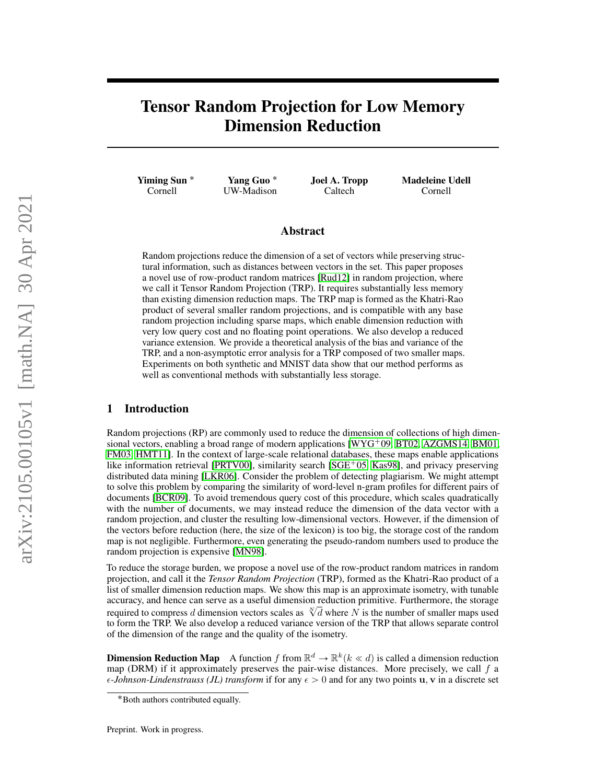# Tensor Random Projection for Low Memory Dimension Reduction

Yiming Sun ˚ Cornell

Yang Guo ˚ UW-Madison Joel A. Tropp Caltech

Madeleine Udell Cornell

## Abstract

Random projections reduce the dimension of a set of vectors while preserving structural information, such as distances between vectors in the set. This paper proposes a novel use of row-product random matrices [\[Rud12\]](#page-6-0) in random projection, where we call it Tensor Random Projection (TRP). It requires substantially less memory than existing dimension reduction maps. The TRP map is formed as the Khatri-Rao product of several smaller random projections, and is compatible with any base random projection including sparse maps, which enable dimension reduction with very low query cost and no floating point operations. We also develop a reduced variance extension. We provide a theoretical analysis of the bias and variance of the TRP, and a non-asymptotic error analysis for a TRP composed of two smaller maps. Experiments on both synthetic and MNIST data show that our method performs as well as conventional methods with substantially less storage.

# 1 Introduction

Random projections (RP) are commonly used to reduce the dimension of collections of high dimensional vectors, enabling a broad range of modern applications  $[WYG^{+}09, BT02, AZGMS14, BM01,$  $[WYG^{+}09, BT02, AZGMS14, BM01,$  $[WYG^{+}09, BT02, AZGMS14, BM01,$  $[WYG^{+}09, BT02, AZGMS14, BM01,$  $[WYG^{+}09, BT02, AZGMS14, BM01,$  $[WYG^{+}09, BT02, AZGMS14, BM01,$  $[WYG^{+}09, BT02, AZGMS14, BM01,$ [FM03,](#page-5-3) [HMT11\]](#page-5-4). In the context of large-scale relational databases, these maps enable applications like information retrieval [\[PRTV00\]](#page-6-2), similarity search  $[SGE^{+}05, Kas98]$  $[SGE^{+}05, Kas98]$  $[SGE^{+}05, Kas98]$ , and privacy preserving distributed data mining [\[LKR06\]](#page-5-6). Consider the problem of detecting plagiarism. We might attempt to solve this problem by comparing the similarity of word-level n-gram profiles for different pairs of documents [\[BCR09\]](#page-5-7). To avoid tremendous query cost of this procedure, which scales quadratically with the number of documents, we may instead reduce the dimension of the data vector with a random projection, and cluster the resulting low-dimensional vectors. However, if the dimension of the vectors before reduction (here, the size of the lexicon) is too big, the storage cost of the random map is not negligible. Furthermore, even generating the pseudo-random numbers used to produce the random projection is expensive [\[MN98\]](#page-6-4).

To reduce the storage burden, we propose a novel use of the row-product random matrices in random projection, and call it the *Tensor Random Projection* (TRP), formed as the Khatri-Rao product of a list of smaller dimension reduction maps. We show this map is an approximate isometry, with tunable accuracy, and hence can serve as a useful dimension reduction primitive. Furthermore, the storage accuracy, and nence can serve as a useful dimension reduction primitive. Furthermore, the storage required to compress  $d$  dimension vectors scales as  $\sqrt[N]{d}$  where  $N$  is the number of smaller maps used to form the TRP. We also develop a reduced variance version of the TRP that allows separate control of the dimension of the range and the quality of the isometry.

**Dimension Reduction Map** A function f from  $\mathbb{R}^d \to \mathbb{R}^k (k \ll d)$  is called a dimension reduction map (DRM) if it approximately preserves the pair-wise distances. More precisely, we call  $f$  a  $\epsilon$ -*Johnson-Lindenstrauss (JL) transform* if for any  $\epsilon > 0$  and for any two points **u**, **v** in a discrete set

<sup>˚</sup>Both authors contributed equally.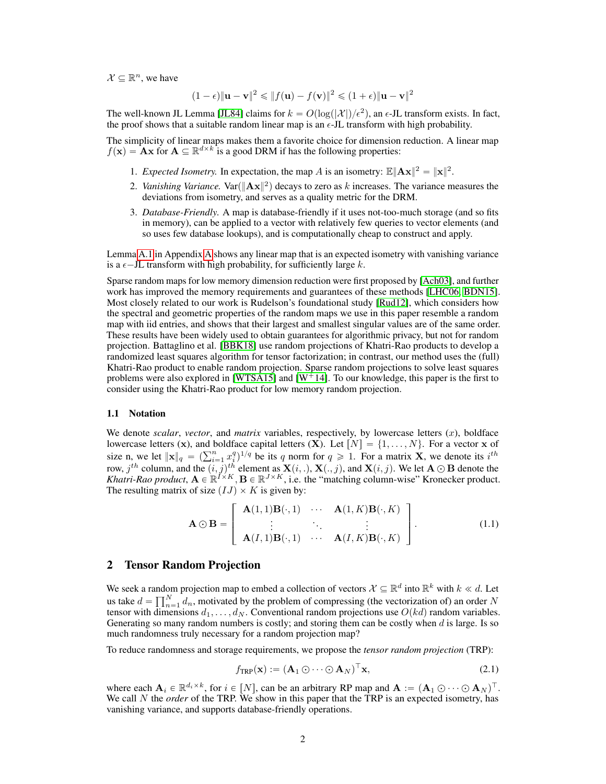$\mathcal{X} \subseteq \mathbb{R}^n$ , we have

$$
(1 - \epsilon) \|\mathbf{u} - \mathbf{v}\|^2 \le \|f(\mathbf{u}) - f(\mathbf{v})\|^2 \le (1 + \epsilon) \|\mathbf{u} - \mathbf{v}\|^2
$$

The well-known JL Lemma [\[JL84\]](#page-5-8) claims for  $k = O(\log(|\mathcal{X}|)/\epsilon^2)$ , an  $\epsilon$ -JL transform exists. In fact, the proof shows that a suitable random linear map is an  $\epsilon$ -JL transform with high probability.

The simplicity of linear maps makes them a favorite choice for dimension reduction. A linear map  $f(\mathbf{x}) = \mathbf{A}\mathbf{x}$  for  $\mathbf{A} \subseteq \mathbb{R}^{d \times k}$  is a good DRM if has the following properties:

- 1. *Expected Isometry*. In expectation, the map A is an isometry:  $\mathbb{E} \|\mathbf{A} \mathbf{x}\|^2 = \|\mathbf{x}\|^2$ .
- 2. Vanishing Variance.  $\text{Var}(\|\mathbf{Ax}\|^2)$  decays to zero as k increases. The variance measures the deviations from isometry, and serves as a quality metric for the DRM.
- 3. *Database-Friendly.* A map is database-friendly if it uses not-too-much storage (and so fits in memory), can be applied to a vector with relatively few queries to vector elements (and so uses few database lookups), and is computationally cheap to construct and apply.

Lemma [A.1](#page-8-0) in Appendix [A](#page-7-0) shows any linear map that is an expected isometry with vanishing variance is a  $\epsilon$ -JL transform with high probability, for sufficiently large k.

Sparse random maps for low memory dimension reduction were first proposed by [\[Ach03\]](#page-5-9), and further work has improved the memory requirements and guarantees of these methods [\[LHC06,](#page-5-10) [BDN15\]](#page-5-11). Most closely related to our work is Rudelson's foundational study [\[Rud12\]](#page-6-0), which considers how the spectral and geometric properties of the random maps we use in this paper resemble a random map with iid entries, and shows that their largest and smallest singular values are of the same order. These results have been widely used to obtain guarantees for algorithmic privacy, but not for random projection. Battaglino et al. [\[BBK18\]](#page-5-12) use random projections of Khatri-Rao products to develop a randomized least squares algorithm for tensor factorization; in contrast, our method uses the (full) Khatri-Rao product to enable random projection. Sparse random projections to solve least squares problems were also explored in [\[WTSA15\]](#page-6-5) and  $[W^+14]$  $[W^+14]$ . To our knowledge, this paper is the first to consider using the Khatri-Rao product for low memory random projection.

#### 1.1 Notation

We denote *scalar, vector*, and *matrix* variables, respectively, by lowercase letters  $(x)$ , boldface lowercase letters (x), and boldface capital letters (X). Let  $[N] = \{1, \ldots, N\}$ . For a vector x of lowercase letters (x), and boldface capital letters (X). Let  $[N] = \{1, ..., N\}$ . For a vector x of size n, we let  $\|\mathbf{x}\|_q = (\sum_{i=1}^n x_i^q)^{1/q}$  be its q norm for  $q \ge 1$ . For a matrix **X**, we denote its  $i^{th}$ row,  $j^{th}$  column, and the  $(i, j)^{th}$  element as  $\mathbf{X}(i, .), \mathbf{X}(., j)$ , and  $\mathbf{X}(i, j)$ . We let  $\mathbf{A} \odot \mathbf{B}$  denote the *Khatri-Rao product*,  $A \in \mathbb{R}^{I \times K}$ ,  $B \in \mathbb{R}^{J \times K}$ , i.e. the "matching column-wise" Kronecker product. The resulting matrix of size  $(IJ) \times K$  is given by:  $\hat{\ }$ fi

$$
\mathbf{A} \odot \mathbf{B} = \left[ \begin{array}{ccc} \mathbf{A}(1,1) \mathbf{B}(\cdot,1) & \cdots & \mathbf{A}(1,K) \mathbf{B}(\cdot,K) \\ \vdots & \ddots & \vdots \\ \mathbf{A}(I,1) \mathbf{B}(\cdot,1) & \cdots & \mathbf{A}(I,K) \mathbf{B}(\cdot,K) \end{array} \right].
$$
 (1.1)

#### 2 Tensor Random Projection

We seek a random projection map to embed a collection of vectors  $\mathcal{X} \subseteq \mathbb{R}^d$  into  $\mathbb{R}^k$  with  $k \ll d$ . Let we seek a randor<br>us take  $d = \prod_{n=1}^{N}$  $n_{n=1}^{N} d_n$ , motivated by the problem of compressing (the vectorization of) an order N tensor with dimensions  $d_1, \ldots, d_N$ . Conventional random projections use  $O(kd)$  random variables. Generating so many random numbers is costly; and storing them can be costly when  $d$  is large. Is so much randomness truly necessary for a random projection map?

To reduce randomness and storage requirements, we propose the *tensor random projection* (TRP):

$$
f_{\text{TRP}}(\mathbf{x}) := (\mathbf{A}_1 \odot \cdots \odot \mathbf{A}_N)^{\top} \mathbf{x},\tag{2.1}
$$

where each  $\mathbf{A}_i \in \mathbb{R}^{d_i \times k}$ , for  $i \in [N]$ , can be an arbitrary RP map and  $\mathbf{A} := (\mathbf{A}_1 \odot \cdots \odot \mathbf{A}_N)^{\top}$ . We call N the *order* of the TRP. We show in this paper that the TRP is an expected isometry, has vanishing variance, and supports database-friendly operations.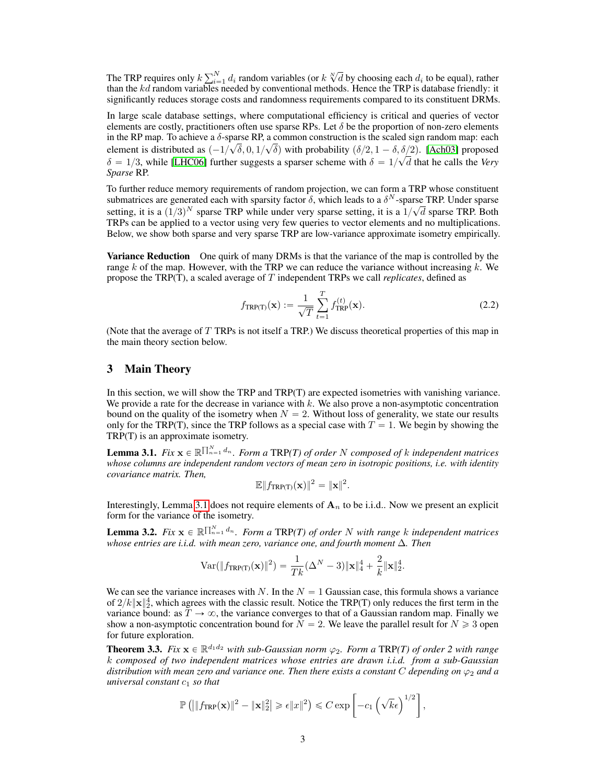The TRP requires only  $k \sum_{i=1}^{N}$  $\sum_{i=1}^{N} d_i$  random variables (or  $k \sqrt[N]{d}$  by choosing each  $d_i$  to be equal), rather than the kd random variables needed by conventional methods. Hence the TRP is database friendly: it significantly reduces storage costs and randomness requirements compared to its constituent DRMs.

In large scale database settings, where computational efficiency is critical and queries of vector elements are costly, practitioners often use sparse RPs. Let  $\delta$  be the proportion of non-zero elements in the RP map. To achieve a  $\delta$ -sparse RP, a common construction is the scaled sign random map: each element is distributed as  $\left(\frac{-1}{\sqrt{\delta}}, 0, \frac{1}{\sqrt{\delta}}\right)$  with probability  $\left(\frac{\delta}{2}, 1 - \delta, \frac{\delta}{2}\right)$ . [\[Ach03\]](#page-5-9) proposed  $\delta = 1/3$ , while [\[LHC06\]](#page-5-10) further suggests a sparser scheme with  $\delta = 1/\sqrt{d}$  that he calls the *Very Sparse* RP.

To further reduce memory requirements of random projection, we can form a TRP whose constituent submatrices are generated each with sparsity factor  $\delta$ , which leads to a  $\delta^N$ -sparse TRP. Under sparse setting, it is a  $(1/3)^N$  sparse TRP while under very sparse setting, it is a  $1/\sqrt{d}$  sparse TRP. Both TRPs can be applied to a vector using very few queries to vector elements and no multiplications. Below, we show both sparse and very sparse TRP are low-variance approximate isometry empirically.

Variance Reduction One quirk of many DRMs is that the variance of the map is controlled by the range  $k$  of the map. However, with the TRP we can reduce the variance without increasing  $k$ . We propose the TRP(T), a scaled average of T independent TRPs we call *replicates*, defined as

$$
f_{\text{TRP(T)}}(\mathbf{x}) := \frac{1}{\sqrt{T}} \sum_{t=1}^{T} f_{\text{TRP}}^{(t)}(\mathbf{x}).
$$
\n(2.2)

(Note that the average of T TRPs is not itself a TRP.) We discuss theoretical properties of this map in the main theory section below.

# 3 Main Theory

In this section, we will show the TRP and TRP(T) are expected isometries with vanishing variance. We provide a rate for the decrease in variance with  $k$ . We also prove a non-asymptotic concentration bound on the quality of the isometry when  $N = 2$ . Without loss of generality, we state our results only for the TRP(T), since the TRP follows as a special case with  $T = 1$ . We begin by showing the TRP(T) is an approximate isometry.

<span id="page-2-0"></span>**Lemma 3.1.** Fix  $\mathbf{x} \in \mathbb{R}^{\prod_{n=1}^{N} d_n}$ . Form a TRP(T) of order N composed of k independent matrices *whose columns are independent random vectors of mean zero in isotropic positions, i.e. with identity covariance matrix. Then,*

$$
\mathbb{E} \|f_{TRP(T)}(\mathbf{x})\|^2 = \|\mathbf{x}\|^2.
$$

Interestingly, Lemma [3.1](#page-2-0) does not require elements of  $A_n$  to be i.i.d.. Now we present an explicit form for the variance of the isometry.

<span id="page-2-2"></span>**Lemma 3.2.** Fix  $\mathbf{x} \in \mathbb{R}^{\prod_{n=1}^{N} d_n}$ . Form a TRP(T) of order N with range k independent matrices *whose entries are i.i.d. with mean zero, variance one, and fourth moment* ∆*. Then*

$$
\text{Var}(\|f_{\text{TRP(T)}}(\mathbf{x})\|^2) = \frac{1}{Tk} (\Delta^N - 3) \|\mathbf{x}\|_4^4 + \frac{2}{k} \|\mathbf{x}\|_2^4.
$$

We can see the variance increases with N. In the  $N = 1$  Gaussian case, this formula shows a variance of  $2/k$   $\|\mathbf{x}\|_2^4$ , which agrees with the classic result. Notice the TRP(T) only reduces the first term in the variance bound: as  $T \to \infty$ , the variance converges to that of a Gaussian random map. Finally we show a non-asymptotic concentration bound for  $N = 2$ . We leave the parallel result for  $N \ge 3$  open for future exploration.

<span id="page-2-1"></span>**Theorem 3.3.** Fix  $x \in \mathbb{R}^{d_1 d_2}$  with sub-Gaussian norm  $\varphi_2$ . Form a TRP(T) of order 2 with range k *composed of two independent matrices whose entries are drawn i.i.d. from a sub-Gaussian distribution with mean zero and variance one. Then there exists a constant* C *depending on* ϕ<sup>2</sup> *and a universal constant* c<sup>1</sup> *so that* L,

$$
\mathbb{P}\left(\left\|f_{\text{TRP}}(\mathbf{x})\right\|^2 - \|\mathbf{x}\|_2^2\right) \geq \epsilon \|x\|^2\right) \leq C \exp\left[-c_1 \left(\sqrt{k}\epsilon\right)^{1/2}\right],
$$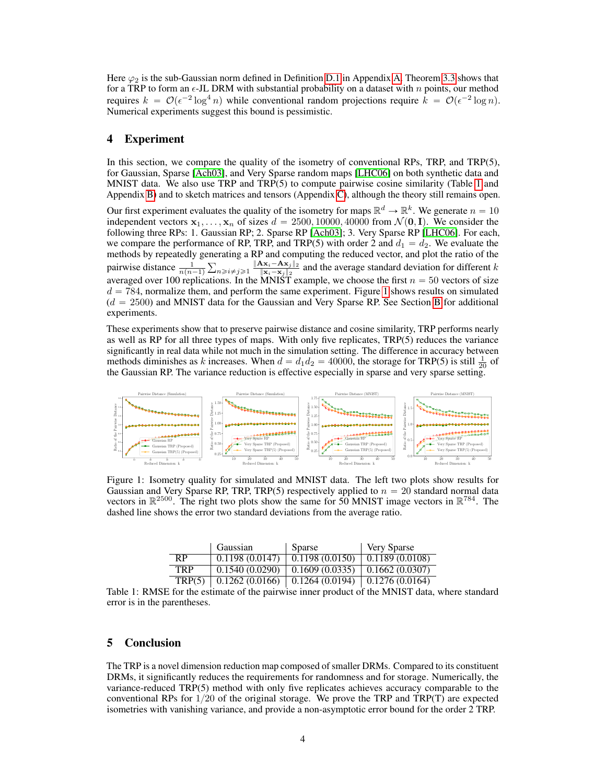Here  $\varphi_2$  is the sub-Gaussian norm defined in Definition [D.1](#page-13-0) in Appendix [A.](#page-7-0) Theorem [3.3](#page-2-1) shows that for a TRP to form an  $\epsilon$ -JL DRM with substantial probability on a dataset with n points, our method requires  $k = \mathcal{O}(\epsilon^{-2} \log^4 n)$  while conventional random projections require  $k = \mathcal{O}(\epsilon^{-2} \log n)$ . Numerical experiments suggest this bound is pessimistic.

## 4 Experiment

In this section, we compare the quality of the isometry of conventional RPs, TRP, and TRP(5), for Gaussian, Sparse [\[Ach03\]](#page-5-9), and Very Sparse random maps [\[LHC06\]](#page-5-10) on both synthetic data and MNIST data. We also use TRP and TRP(5) to compute pairwise cosine similarity (Table [1](#page-3-0) and Appendix [B\)](#page-11-0) and to sketch matrices and tensors (Appendix [C\)](#page-12-0), although the theory still remains open.

Our first experiment evaluates the quality of the isometry for maps  $\mathbb{R}^d \to \mathbb{R}^k$ . We generate  $n = 10$ independent vectors  $x_1, \ldots, x_n$  of sizes  $d = 2500, 10000, 40000$  from  $\mathcal{N}(\mathbf{0}, \mathbf{I})$ . We consider the following three RPs: 1. Gaussian RP; 2. Sparse RP [\[Ach03\]](#page-5-9); 3. Very Sparse RP [\[LHC06\]](#page-5-10). For each, we compare the performance of RP, TRP, and TRP(5) with order 2 and  $d_1 = d_2$ . We evaluate the methods by repeatedly generating a RP and computing the reduced vector, and plot the ratio of the pairwise distance  $\frac{1}{n(n-1)}$  $\frac{m}{2}$  $n \geqslant i \neq j \geqslant 1$   $\frac{\|\mathbf{A}\mathbf{x}_i - \mathbf{A}\mathbf{x}_j\|_2}{\|\mathbf{x}_i - \mathbf{x}_j\|_2}$  $\frac{\mathbf{x}_i - \mathbf{A}\mathbf{x}_j}{\|\mathbf{x}_i - \mathbf{x}_j\|_2}$  and the average standard deviation for different k averaged over 100 replications. In the MNIST example, we choose the first  $n = 50$  vectors of size  $d = 784$ , normalize them, and perform the same experiment. Figure [1](#page-3-1) shows results on simulated  $(d = 2500)$  and MNIST data for the Gaussian and Very Sparse RP. See Section [B](#page-11-0) for additional experiments.

These experiments show that to preserve pairwise distance and cosine similarity, TRP performs nearly as well as RP for all three types of maps. With only five replicates, TRP(5) reduces the variance significantly in real data while not much in the simulation setting. The difference in accuracy between methods diminishes as k increases. When  $d = d_1 d_2 = 40000$ , the storage for TRP(5) is still  $\frac{1}{20}$  of the Gaussian RP. The variance reduction is effective especially in sparse and very sparse setting.

<span id="page-3-1"></span>

Figure 1: Isometry quality for simulated and MNIST data. The left two plots show results for Gaussian and Very Sparse RP, TRP, TRP(5) respectively applied to  $n = 20$  standard normal data vectors in  $\mathbb{R}^{2500}$ . The right two plots show the same for 50 MNIST image vectors in  $\mathbb{R}^{784}$ . The dashed line shows the error two standard deviations from the average ratio.

|                | Gaussian       | Sparse         | <b>Very Sparse</b>      |
|----------------|----------------|----------------|-------------------------|
| R <sub>P</sub> | 0.1198(0.0147) | 0.1198(0.0150) | 0.1189(0.0108)          |
| <b>TRP</b>     | 0.1540(0.0290) | 0.1609(0.0335) | 0.1662(0.0307)          |
| TRP(5)         | 0.1262(0.0166) | 0.1264(0.0194) | $\vert$ 0.1276 (0.0164) |

<span id="page-3-0"></span>Table 1: RMSE for the estimate of the pairwise inner product of the MNIST data, where standard error is in the parentheses.

## 5 Conclusion

The TRP is a novel dimension reduction map composed of smaller DRMs. Compared to its constituent DRMs, it significantly reduces the requirements for randomness and for storage. Numerically, the variance-reduced TRP(5) method with only five replicates achieves accuracy comparable to the conventional RPs for  $1/20$  of the original storage. We prove the TRP and TRP(T) are expected isometries with vanishing variance, and provide a non-asymptotic error bound for the order 2 TRP.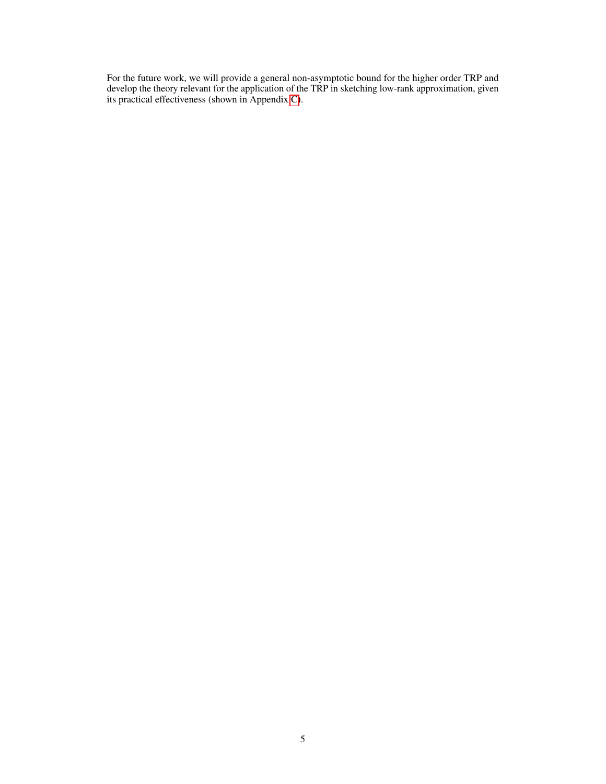For the future work, we will provide a general non-asymptotic bound for the higher order TRP and develop the theory relevant for the application of the TRP in sketching low-rank approximation, given its practical effectiveness (shown in Appendix [C\)](#page-12-0).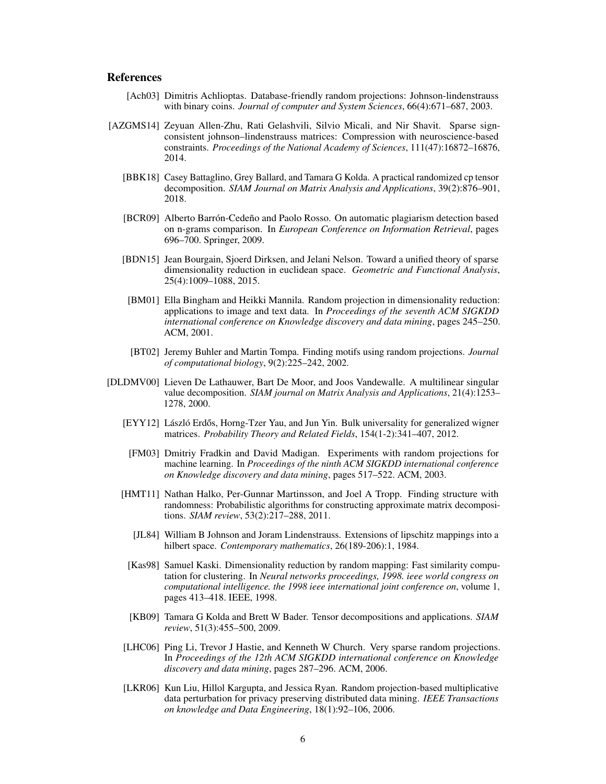# References

- <span id="page-5-9"></span>[Ach03] Dimitris Achlioptas. Database-friendly random projections: Johnson-lindenstrauss with binary coins. *Journal of computer and System Sciences*, 66(4):671–687, 2003.
- <span id="page-5-12"></span><span id="page-5-7"></span><span id="page-5-1"></span>[AZGMS14] Zeyuan Allen-Zhu, Rati Gelashvili, Silvio Micali, and Nir Shavit. Sparse signconsistent johnson–lindenstrauss matrices: Compression with neuroscience-based constraints. *Proceedings of the National Academy of Sciences*, 111(47):16872–16876, 2014.
	- [BBK18] Casey Battaglino, Grey Ballard, and Tamara G Kolda. A practical randomized cp tensor decomposition. *SIAM Journal on Matrix Analysis and Applications*, 39(2):876–901, 2018.
	- [BCR09] Alberto Barrón-Cedeño and Paolo Rosso. On automatic plagiarism detection based on n-grams comparison. In *European Conference on Information Retrieval*, pages 696–700. Springer, 2009.
	- [BDN15] Jean Bourgain, Sjoerd Dirksen, and Jelani Nelson. Toward a unified theory of sparse dimensionality reduction in euclidean space. *Geometric and Functional Analysis*, 25(4):1009–1088, 2015.
	- [BM01] Ella Bingham and Heikki Mannila. Random projection in dimensionality reduction: applications to image and text data. In *Proceedings of the seventh ACM SIGKDD international conference on Knowledge discovery and data mining*, pages 245–250. ACM, 2001.
	- [BT02] Jeremy Buhler and Martin Tompa. Finding motifs using random projections. *Journal of computational biology*, 9(2):225–242, 2002.
- <span id="page-5-15"></span><span id="page-5-14"></span><span id="page-5-13"></span><span id="page-5-11"></span><span id="page-5-10"></span><span id="page-5-8"></span><span id="page-5-6"></span><span id="page-5-5"></span><span id="page-5-4"></span><span id="page-5-3"></span><span id="page-5-2"></span><span id="page-5-0"></span>[DLDMV00] Lieven De Lathauwer, Bart De Moor, and Joos Vandewalle. A multilinear singular value decomposition. *SIAM journal on Matrix Analysis and Applications*, 21(4):1253– 1278, 2000.
	- [EYY12] László Erdős, Horng-Tzer Yau, and Jun Yin. Bulk universality for generalized wigner matrices. *Probability Theory and Related Fields*, 154(1-2):341–407, 2012.
	- [FM03] Dmitriy Fradkin and David Madigan. Experiments with random projections for machine learning. In *Proceedings of the ninth ACM SIGKDD international conference on Knowledge discovery and data mining*, pages 517–522. ACM, 2003.
	- [HMT11] Nathan Halko, Per-Gunnar Martinsson, and Joel A Tropp. Finding structure with randomness: Probabilistic algorithms for constructing approximate matrix decompositions. *SIAM review*, 53(2):217–288, 2011.
		- [JL84] William B Johnson and Joram Lindenstrauss. Extensions of lipschitz mappings into a hilbert space. *Contemporary mathematics*, 26(189-206):1, 1984.
		- [Kas98] Samuel Kaski. Dimensionality reduction by random mapping: Fast similarity computation for clustering. In *Neural networks proceedings, 1998. ieee world congress on computational intelligence. the 1998 ieee international joint conference on*, volume 1, pages 413–418. IEEE, 1998.
		- [KB09] Tamara G Kolda and Brett W Bader. Tensor decompositions and applications. *SIAM review*, 51(3):455–500, 2009.
	- [LHC06] Ping Li, Trevor J Hastie, and Kenneth W Church. Very sparse random projections. In *Proceedings of the 12th ACM SIGKDD international conference on Knowledge discovery and data mining*, pages 287–296. ACM, 2006.
	- [LKR06] Kun Liu, Hillol Kargupta, and Jessica Ryan. Random projection-based multiplicative data perturbation for privacy preserving distributed data mining. *IEEE Transactions on knowledge and Data Engineering*, 18(1):92–106, 2006.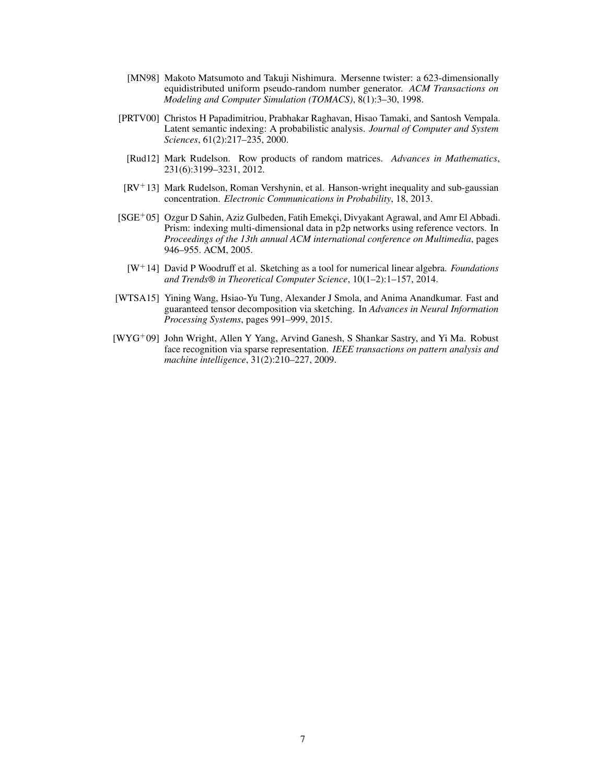- <span id="page-6-4"></span>[MN98] Makoto Matsumoto and Takuji Nishimura. Mersenne twister: a 623-dimensionally equidistributed uniform pseudo-random number generator. *ACM Transactions on Modeling and Computer Simulation (TOMACS)*, 8(1):3–30, 1998.
- <span id="page-6-2"></span>[PRTV00] Christos H Papadimitriou, Prabhakar Raghavan, Hisao Tamaki, and Santosh Vempala. Latent semantic indexing: A probabilistic analysis. *Journal of Computer and System Sciences*, 61(2):217–235, 2000.
	- [Rud12] Mark Rudelson. Row products of random matrices. *Advances in Mathematics*, 231(6):3199–3231, 2012.
- <span id="page-6-7"></span><span id="page-6-0"></span> $[RV^+13]$  Mark Rudelson, Roman Vershynin, et al. Hanson-wright inequality and sub-gaussian concentration. *Electronic Communications in Probability*, 18, 2013.
- <span id="page-6-3"></span>[SGE<sup>+</sup>05] Ozgur D Sahin, Aziz Gulbeden, Fatih Emekçi, Divyakant Agrawal, and Amr El Abbadi. Prism: indexing multi-dimensional data in p2p networks using reference vectors. In *Proceedings of the 13th annual ACM international conference on Multimedia*, pages 946–955. ACM, 2005.
	- [W`14] David P Woodruff et al. Sketching as a tool for numerical linear algebra. *Foundations and Trends® in Theoretical Computer Science*, 10(1–2):1–157, 2014.
- <span id="page-6-6"></span><span id="page-6-5"></span>[WTSA15] Yining Wang, Hsiao-Yu Tung, Alexander J Smola, and Anima Anandkumar. Fast and guaranteed tensor decomposition via sketching. In *Advances in Neural Information Processing Systems*, pages 991–999, 2015.
- <span id="page-6-1"></span>[WYG<sup>+</sup>09] John Wright, Allen Y Yang, Arvind Ganesh, S Shankar Sastry, and Yi Ma. Robust face recognition via sparse representation. *IEEE transactions on pattern analysis and machine intelligence*, 31(2):210–227, 2009.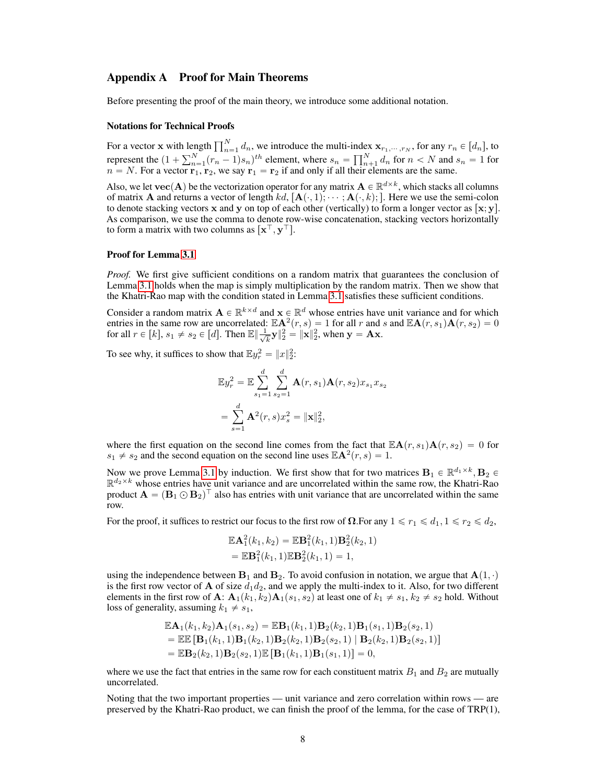## <span id="page-7-0"></span>Appendix A Proof for Main Theorems

Before presenting the proof of the main theory, we introduce some additional notation.

#### Notations for Technical Proofs

For a vector x with length  $\prod_{n=1}^{N} d_n$ , we introduce the multi-index  $\mathbf{x}_{r_1,\dots,r_N}$ , for any  $r_n \in [d_n]$ , to For a vector **x** with ten<br>represent the  $(1 + \sum_{n=1}^{N} n)^n$  $\prod_{n=1}^{N} (r_n - 1) s_n$  between the multi-matrix<br> $\prod_{n=1}^{N} (r_n - 1) s_n$  between the sn  $\prod_{n=1}^{N} \prod_{n=1}^{N}$  $\sum_{n+1}^{N} d_n$  for  $n < N$  and  $s_n = 1$  for  $n = N$ . For a vector  $\mathbf{r}_1, \mathbf{r}_2$ , we say  $\mathbf{r}_1 = \mathbf{r}_2$  if and only if all their elements are the same.

Also, we let  $\textbf{vec}(\mathbf{A})$  be the vectorization operator for any matrix  $\mathbf{A} \in \mathbb{R}^{d \times k}$ , which stacks all columns of matrix **A** and returns a vector of length  $kd$ ,  $[A(\cdot, 1);\cdots; A(\cdot, k);]$ . Here we use the semi-colon to denote stacking vectors x and y on top of each other (vertically) to form a longer vector as  $[x, y]$ . As comparison, we use the comma to denote row-wise concatenation, stacking vectors horizontally to form a matrix with two columns as  $[\mathbf{x}^\top, \mathbf{y}^\top]$ .

#### Proof for Lemma [3.1](#page-2-0)

*Proof.* We first give sufficient conditions on a random matrix that guarantees the conclusion of Lemma [3.1](#page-2-0) holds when the map is simply multiplication by the random matrix. Then we show that the Khatri-Rao map with the condition stated in Lemma [3.1](#page-2-0) satisfies these sufficient conditions.

Consider a random matrix  $A \in \mathbb{R}^{k \times d}$  and  $x \in \mathbb{R}^d$  whose entries have unit variance and for which entries in the same row are uncorrelated:  $\mathbb{E} \mathbf{A}^2(r, s) = 1$  for all r and s and  $\mathbb{E} \mathbf{A}(r, s_1) \mathbf{A}(r, s_2) = 0$ for all  $r \in [k], s_1 \neq s_2 \in [d]$ . Then  $\mathbb{E} \left[ \frac{1}{\sqrt{k}} \right]$  $\|\mathbf{x}\|_2^2 = \|\mathbf{x}\|_2^2$ , when  $\mathbf{y} = \mathbf{A}\mathbf{x}$ .

To see why, it suffices to show that  $\mathbb{E}y_r^2 = ||x||_2^2$ :

<span id="page-7-1"></span>
$$
\mathbb{E}y_r^2 = \mathbb{E}\sum_{s_1=1}^d \sum_{s_2=1}^d \mathbf{A}(r, s_1)\mathbf{A}(r, s_2)x_{s_1}x_{s_2}
$$

$$
= \sum_{s=1}^d \mathbf{A}^2(r, s)x_s^2 = ||\mathbf{x}||_2^2,
$$

where the first equation on the second line comes from the fact that  $\mathbb{E} \mathbf{A}(r, s_1) \mathbf{A}(r, s_2) = 0$  for  $s_1 \neq s_2$  and the second equation on the second line uses  $\mathbb{E} \mathbf{A}^2(r, s) = 1$ .

Now we prove Lemma [3.1](#page-2-0) by induction. We first show that for two matrices  $B_1 \in \mathbb{R}^{d_1 \times k}$ ,  $B_2 \in$  $\mathbb{R}^{d_2 \times k}$  whose entries have unit variance and are uncorrelated within the same row, the Khatri-Rao product  $\mathbf{A} = (\mathbf{B}_1 \odot \mathbf{B}_2)^T$  also has entries with unit variance that are uncorrelated within the same row.

For the proof, it suffices to restrict our focus to the first row of  $\Omega$ . For any  $1 \leq r_1 \leq d_1$ ,  $1 \leq r_2 \leq d_2$ ,

$$
\mathbb{E}\mathbf{A}_1^2(k_1, k_2) = \mathbb{E}\mathbf{B}_1^2(k_1, 1)\mathbf{B}_2^2(k_2, 1) \n= \mathbb{E}\mathbf{B}_1^2(k_1, 1)\mathbb{E}\mathbf{B}_2^2(k_1, 1) = 1,
$$

using the independence between  $B_1$  and  $B_2$ . To avoid confusion in notation, we argue that  $A(1, \cdot)$ is the first row vector of **A** of size  $d_1d_2$ , and we apply the multi-index to it. Also, for two different elements in the first row of **A**:  $\mathbf{A}_1(k_1, k_2)\mathbf{A}_1(s_1, s_2)$  at least one of  $k_1 \neq s_1, k_2 \neq s_2$  hold. Without loss of generality, assuming  $k_1 \neq s_1$ ,

$$
\mathbb{E}\mathbf{A}_1(k_1, k_2)\mathbf{A}_1(s_1, s_2) = \mathbb{E}\mathbf{B}_1(k_1, 1)\mathbf{B}_2(k_2, 1)\mathbf{B}_1(s_1, 1)\mathbf{B}_2(s_2, 1) \n= \mathbb{E}\mathbb{E}\left[\mathbf{B}_1(k_1, 1)\mathbf{B}_1(k_2, 1)\mathbf{B}_2(k_2, 1)\mathbf{B}_2(s_2, 1) | \mathbf{B}_2(k_2, 1)\mathbf{B}_2(s_2, 1)\right] \n= \mathbb{E}\mathbf{B}_2(k_2, 1)\mathbf{B}_2(s_2, 1)\mathbb{E}\left[\mathbf{B}_1(k_1, 1)\mathbf{B}_1(s_1, 1)\right] = 0,
$$

where we use the fact that entries in the same row for each constituent matrix  $B_1$  and  $B_2$  are mutually uncorrelated.

Noting that the two important properties — unit variance and zero correlation within rows — are preserved by the Khatri-Rao product, we can finish the proof of the lemma, for the case of TRP(1),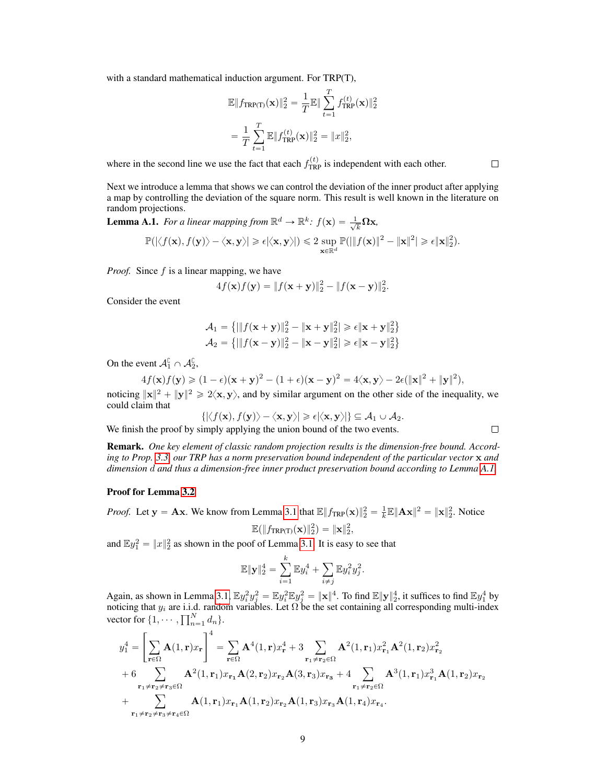with a standard mathematical induction argument. For TRP(T),

$$
\mathbb{E} \|f_{\text{TRP(T)}}(\mathbf{x})\|_2^2 = \frac{1}{T} \mathbb{E} \|\sum_{t=1}^T f_{\text{TRP}}^{(t)}(\mathbf{x})\|_2^2
$$
  
= 
$$
\frac{1}{T} \sum_{t=1}^T \mathbb{E} \|f_{\text{TRP}}^{(t)}(\mathbf{x})\|_2^2 = \|x\|_2^2,
$$

where in the second line we use the fact that each  $f_{TRP}^{(t)}$  is independent with each other.

Next we introduce a lemma that shows we can control the deviation of the inner product after applying a map by controlling the deviation of the square norm. This result is well known in the literature on random projections.

<span id="page-8-0"></span>**Lemma A.1.** For a linear mapping from  $\mathbb{R}^d \to \mathbb{R}^k$ :  $f(\mathbf{x}) = \frac{1}{\sqrt{k}}$  $\frac{1}{k}\mathbf{\Omega}\mathbf{x}$ ,

$$
\mathbb{P}(|\langle f(\mathbf{x}), f(\mathbf{y})\rangle - \langle \mathbf{x}, \mathbf{y}\rangle| \geqslant \epsilon |\langle \mathbf{x}, \mathbf{y}\rangle|) \leqslant 2 \sup_{\mathbf{x}\in\mathbb{R}^d} \mathbb{P}(|\|f(\mathbf{x})\|^2 - \|\mathbf{x}\|^2| \geqslant \epsilon \|\mathbf{x}\|_2^2).
$$

*Proof.* Since f is a linear mapping, we have

$$
4f(\mathbf{x})f(\mathbf{y}) = ||f(\mathbf{x} + \mathbf{y})||_2^2 - ||f(\mathbf{x} - \mathbf{y})||_2^2.
$$

Consider the event

$$
\mathcal{A}_1 = \left\{ \left| \|f(\mathbf{x} + \mathbf{y})\|_2^2 - \|\mathbf{x} + \mathbf{y}\|_2^2 \right| \ge \epsilon \|\mathbf{x} + \mathbf{y}\|_2^2 \right\}
$$

$$
\mathcal{A}_2 = \left\{ \left| \|f(\mathbf{x} - \mathbf{y})\|_2^2 - \|\mathbf{x} - \mathbf{y}\|_2^2 \right| \ge \epsilon \|\mathbf{x} - \mathbf{y}\|_2^2 \right\}
$$

On the event  $\mathcal{A}_{1}^{\complement} \cap \mathcal{A}_{2}^{\complement}$ ,

$$
4f(\mathbf{x})f(\mathbf{y}) \geq (1-\epsilon)(\mathbf{x}+\mathbf{y})^2 - (1+\epsilon)(\mathbf{x}-\mathbf{y})^2 = 4\langle \mathbf{x}, \mathbf{y} \rangle - 2\epsilon (\|\mathbf{x}\|^2 + \|\mathbf{y}\|^2),
$$

noticing  $||x||^2 + ||y||^2 \ge 2\langle x, y \rangle$ , and by similar argument on the other side of the inequality, we could claim that

$$
\{|\langle f(\mathbf{x}), f(\mathbf{y})\rangle - \langle \mathbf{x}, \mathbf{y}\rangle| \geqslant \epsilon |\langle \mathbf{x}, \mathbf{y}\rangle| \} \subseteq \mathcal{A}_1 \cup \mathcal{A}_2.
$$

We finish the proof by simply applying the union bound of the two events.

Remark. *One key element of classic random projection results is the dimension-free bound. According to Prop. [3.3,](#page-2-1) our TRP has a norm preservation bound independent of the particular vector* x *and dimension* d *and thus a dimension-free inner product preservation bound according to Lemma [A.1.](#page-7-1)*

#### Proof for Lemma [3.2](#page-2-2)

*Proof.* Let  $y = Ax$ . We know from Lemma [3.1](#page-2-0) that  $\mathbb{E} \|f_{TRP}(\mathbf{x})\|_2^2 = \frac{1}{k} \mathbb{E} \|\mathbf{Ax}\|^2 = \|\mathbf{x}\|_2^2$ . Notice

$$
\mathbb{E}(\|f_{\text{TRP(T)}}(\mathbf{x})\|_2^2) = \|\mathbf{x}\|_2^2,
$$

and  $\mathbb{E}y_1^2 = ||x||_2^2$  as shown in the poof of Lemma [3.1.](#page-2-0) It is easy to see that

$$
\mathbb{E} \| \mathbf{y} \|_2^4 = \sum_{i=1}^k \mathbb{E} y_i^4 + \sum_{i \neq j} \mathbb{E} y_i^2 y_j^2.
$$

Again, as shown in Lemma [3.1,](#page-2-0)  $\mathbb{E}y_i^2y_j^2 = \mathbb{E}y_i^2\mathbb{E}y_j^2 = \|\mathbf{x}\|^4$ . To find  $\mathbb{E}\|\mathbf{y}\|_2^4$ , it suffices to find  $\mathbb{E}y_1^4$  by noticing that  $y_i$  are i.i.d. random variables. Let  $\Omega$  be the set containing all corresponding multi-index noticing that  $y_i$  are 1.1.0<br>vector for  $\{1, \dots, \prod_{n=1}^{N}$  $\binom{n}{n-1}$  d<sub>n</sub> }.

$$
y_1^4 = \left[\sum_{\mathbf{r}\in\Omega} \mathbf{A}(1,\mathbf{r})x_\mathbf{r}\right]_0^4 = \sum_{\mathbf{r}\in\Omega} \mathbf{A}^4(1,\mathbf{r})x_\mathbf{r}^4 + 3\sum_{\mathbf{r}_1\neq\mathbf{r}_2\in\Omega} \mathbf{A}^2(1,\mathbf{r}_1)x_{\mathbf{r}_1}^2\mathbf{A}^2(1,\mathbf{r}_2)x_{\mathbf{r}_2}^2
$$
  
+ 6  $\sum_{\mathbf{r}_1\neq\mathbf{r}_2\neq\mathbf{r}_3\in\Omega} \mathbf{A}^2(1,\mathbf{r}_1)x_{\mathbf{r}_1}\mathbf{A}(2,\mathbf{r}_2)x_{\mathbf{r}_2}\mathbf{A}(3,\mathbf{r}_3)x_{\mathbf{r}_3} + 4\sum_{\mathbf{r}_1\neq\mathbf{r}_2\in\Omega} \mathbf{A}^3(1,\mathbf{r}_1)x_{\mathbf{r}_1}^3\mathbf{A}(1,\mathbf{r}_2)x_{\mathbf{r}_2}$   
+  $\sum_{\mathbf{r}_1\neq\mathbf{r}_2\neq\mathbf{r}_3\neq\mathbf{r}_4\in\Omega} \mathbf{A}(1,\mathbf{r}_1)x_{\mathbf{r}_1}\mathbf{A}(1,\mathbf{r}_2)x_{\mathbf{r}_2}\mathbf{A}(1,\mathbf{r}_3)x_{\mathbf{r}_3}\mathbf{A}(1,\mathbf{r}_4)x_{\mathbf{r}_4}.$ 

 $\Box$ 

 $\Box$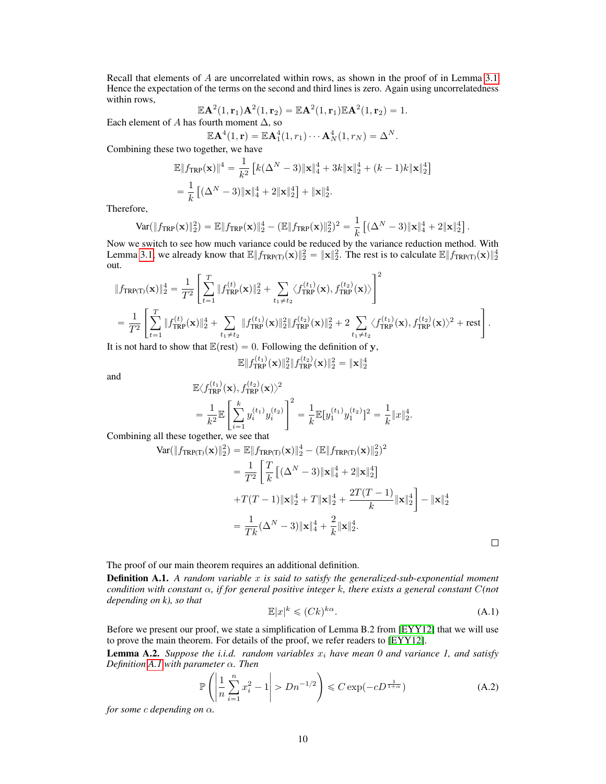Recall that elements of A are uncorrelated within rows, as shown in the proof of in Lemma [3.1.](#page-2-0) Hence the expectation of the terms on the second and third lines is zero. Again using uncorrelatedness within rows,

$$
\mathbb{E}\mathbf{A}^2(1,\mathbf{r}_1)\mathbf{A}^2(1,\mathbf{r}_2) = \mathbb{E}\mathbf{A}^2(1,\mathbf{r}_1)\mathbb{E}\mathbf{A}^2(1,\mathbf{r}_2) = 1.
$$
  
fourth moment A, so

Each element of A has fourth moment  $\Delta$ , so

$$
\mathbb{E}\mathbf{A}^4(1,\mathbf{r})=\mathbb{E}\mathbf{A}^4_1(1,r_1)\cdots\mathbf{A}^4_N(1,r_N)=\Delta^N.
$$

Combining these two together, we have

$$
\mathbb{E} \|f_{\text{TRP}}(\mathbf{x})\|^4 = \frac{1}{k^2} \left[ k(\Delta^N - 3) \|\mathbf{x}\|_4^4 + 3k \|\mathbf{x}\|_2^4 + (k - 1)k \|\mathbf{x}\|_2^4 \right]
$$
  
=  $\frac{1}{k} \left[ (\Delta^N - 3) \|\mathbf{x}\|_4^4 + 2 \|\mathbf{x}\|_2^4 \right] + \|\mathbf{x}\|_2^4.$ 

Therefore,

Var(
$$
||f_{TRP}(\mathbf{x})||_2^2
$$
) =  $\mathbb{E}||f_{TRP}(\mathbf{x})||_2^4 - (\mathbb{E}||f_{TRP}(\mathbf{x})||_2^2)^2 = \frac{1}{k} [(\Delta^N - 3)||\mathbf{x}||_4^4 + 2||\mathbf{x}||_2^4].$ 

Now we switch to see how much variance could be reduced by the variance reduction method. With Lemma [3.1,](#page-2-0) we already know that  $\mathbb{E} \| f_{TRP(T)}(\mathbf{x}) \|_2^2 = \|\mathbf{x}\|_2^2$ . The rest is to calculate  $\mathbb{E} \| f_{TRP(T)}(\mathbf{x}) \|_2^4$ out.

ul.  
\n
$$
||f_{TRP(T)}(\mathbf{x})||_2^4 = \frac{1}{T^2} \left[ \sum_{t=1}^T ||f_{TRP}^{(t)}(\mathbf{x})||_2^2 + \sum_{t_1 \neq t_2} \langle f_{TRP}^{(t_1)}(\mathbf{x}), f_{TRP}^{(t_2)}(\mathbf{x}) \rangle \right]^2
$$
\n
$$
= \frac{1}{T^2} \left[ \sum_{t=1}^T ||f_{TRP}^{(t)}(\mathbf{x})||_2^4 + \sum_{t_1 \neq t_2} ||f_{TRP}^{(t_1)}(\mathbf{x})||_2^2 ||f_{TRP}^{(t_2)}(\mathbf{x})||_2^2 + 2 \sum_{t_1 \neq t_2} \langle f_{TRP}^{(t_1)}(\mathbf{x}), f_{TRP}^{(t_2)}(\mathbf{x}) \rangle^2 + \text{rest} \right].
$$

It is not hard to show that  $\mathbb{E}(\text{rest}) = 0$ . Following the definition of y,

$$
\mathbb{E} \|f_{\text{TRP}}^{(t_1)}(\mathbf{x})\|_2^2 \|f_{\text{TRP}}^{(t_2)}(\mathbf{x})\|_2^2 = \|\mathbf{x}\|_2^4
$$

and

$$
\mathbb{E}\langle f_{\text{TRP}}^{(t_1)}(\mathbf{x}), f_{\text{TRP}}^{(t_2)}(\mathbf{x})\rangle^2
$$
\n
$$
= \frac{1}{k^2} \mathbb{E}\left[\sum_{i=1}^k y_i^{(t_1)} y_i^{(t_2)}\right]^2 = \frac{1}{k} \mathbb{E}[y_1^{(t_1)} y_1^{(t_2)}]^2 = \frac{1}{k} \|x\|_2^4.
$$

Combining all these together, we see that

$$
\begin{split} \text{Var}(\|f_{\text{TRP(T)}}(\mathbf{x})\|_{2}^{2}) &= \mathbb{E}\|f_{\text{TRP(T)}}(\mathbf{x})\|_{2}^{4} - (\mathbb{E}\|f_{\text{TRP(T)}}(\mathbf{x})\|_{2}^{2})^{2} \\ &= \frac{1}{T^{2}} \left[ \frac{T}{k} \left[ (\Delta^{N} - 3) \|\mathbf{x}\|_{4}^{4} + 2 \|\mathbf{x}\|_{2}^{4} \right] \right. \\ &\left. + T(T - 1) \|\mathbf{x}\|_{2}^{4} + T \|\mathbf{x}\|_{2}^{4} + \frac{2T(T - 1)}{k} \|\mathbf{x}\|_{2}^{4} \right] - \|\mathbf{x}\|_{2}^{4} \\ &= \frac{1}{Tk} (\Delta^{N} - 3) \|\mathbf{x}\|_{4}^{4} + \frac{2}{k} \|\mathbf{x}\|_{2}^{4}. \end{split}
$$

The proof of our main theorem requires an additional definition.

<span id="page-9-0"></span>**Definition A.1.** A random variable x is said to satisfy the generalized-sub-exponential moment *condition with constant* α*, if for general positive integer* k*, there exists a general constant* C*(not depending on k), so that*

$$
\mathbb{E}|x|^k \le (Ck)^{k\alpha}.\tag{A.1}
$$

Before we present our proof, we state a simplification of Lemma B.2 from [\[EYY12\]](#page-5-13) that we will use to prove the main theorem. For details of the proof, we refer readers to [\[EYY12\]](#page-5-13).

<span id="page-9-1"></span>**Lemma A.2.** Suppose the *i.i.d.* random variables  $x_i$  have mean 0 and variance 1, and satisfy *Definition [A.1](#page-9-0) with parameter* α*. Then* ˜ˇ

$$
\mathbb{P}\left(\left|\frac{1}{n}\sum_{i=1}^{n}x_i^2 - 1\right| > Dn^{-1/2}\right) \leq C\exp(-cD^{\frac{1}{1+\alpha}}) \tag{A.2}
$$

*for some c depending on*  $\alpha$ *.*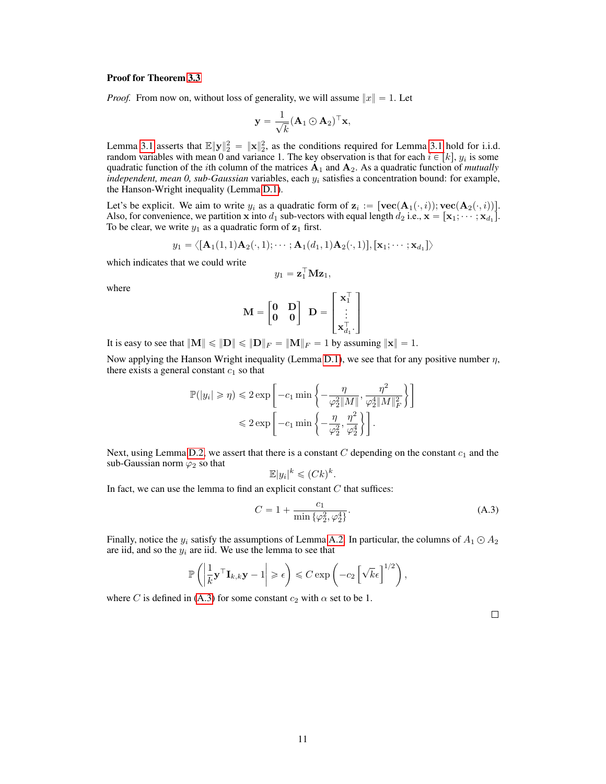#### Proof for Theorem [3.3](#page-2-1)

*Proof.* From now on, without loss of generality, we will assume  $||x|| = 1$ . Let

<span id="page-10-0"></span>
$$
\mathbf{y} = \frac{1}{\sqrt{k}} (\mathbf{A}_1 \odot \mathbf{A}_2)^\top \mathbf{x},
$$

Lemma [3.1](#page-2-0) asserts that  $\mathbb{E} \| \mathbf{y} \|_2^2 = \| \mathbf{x} \|_2^2$ , as the conditions required for Lemma 3.1 hold for i.i.d. random variables with mean 0 and variance 1. The key observation is that for each  $i \in [k]$ ,  $y_i$  is some quadratic function of the *i*th column of the matrices  $A_1$  and  $A_2$ . As a quadratic function of *mutually* independent, mean 0, sub-Gaussian variables, each  $y_i$  satisfies a concentration bound: for example, the Hanson-Wright inequality (Lemma [D.1\)](#page-14-0).

Let's be explicit. We aim to write  $y_i$  as a quadratic form of  $\mathbf{z}_i := [\textbf{vec}(\mathbf{A}_1(\cdot,i)); \textbf{vec}(\mathbf{A}_2(\cdot,i))]$ . Also, for convenience, we partition **x** into  $d_1$  sub-vectors with equal length  $d_2$  i.e.,  $\mathbf{x} = [\mathbf{x}_1; \dots; \mathbf{x}_{d_1}]$ . To be clear, we write  $y_1$  as a quadratic form of  $z_1$  first.

$$
y_1 = \left\langle [\mathbf{A}_1(1,1)\mathbf{A}_2(\cdot,1); \cdots; \mathbf{A}_1(d_1,1)\mathbf{A}_2(\cdot,1)], [\mathbf{x}_1;\cdots;\mathbf{x}_{d_1}] \right\rangle
$$

which indicates that we could write

$$
y_1 = \mathbf{z}_1^\top \mathbf{M} \mathbf{z}_1,
$$

where

$$
\mathbf{M} = \begin{bmatrix} \mathbf{0} & \mathbf{D} \\ \mathbf{0} & \mathbf{0} \end{bmatrix} \ \mathbf{D} = \begin{bmatrix} \mathbf{x}_1^\top \\ \vdots \\ \mathbf{x}_{d_1}^\top \end{bmatrix}
$$

It is easy to see that  $||M|| \le ||D|| \le ||D||_F = ||M||_F = 1$  by assuming  $||\mathbf{x}|| = 1$ .

Now applying the Hanson Wright inequality (Lemma [D.1\)](#page-14-0), we see that for any positive number  $\eta$ , there exists a general constant  $c_1$  so that \*

$$
\mathbb{P}(|y_i| \geq \eta) \leq 2 \exp\left[-c_1 \min\left\{-\frac{\eta}{\varphi_2^2 \|M\|}, \frac{\eta^2}{\varphi_2^4 \|M\|_F^2}\right\}\right]
$$
  

$$
\leq 2 \exp\left[-c_1 \min\left\{-\frac{\eta}{\varphi_2^2}, \frac{\eta^2}{\varphi_2^4}\right\}\right].
$$

Next, using Lemma [D.2,](#page-14-1) we assert that there is a constant  $C$  depending on the constant  $c_1$  and the sub-Gaussian norm  $\varphi_2$  so that

$$
\mathbb{E}|y_i|^k \leqslant (Ck)^k.
$$

In fact, we can use the lemma to find an explicit constant  $C$  that suffices:

$$
C = 1 + \frac{c_1}{\min{\{\varphi_2^2, \varphi_2^4\}}}.
$$
\n(A.3)

Finally, notice the  $y_i$  satisfy the assumptions of Lemma [A.2.](#page-9-1) In particular, the columns of  $A_1 \odot A_2$ are iid, and so the  $y_i$  are iid. We use the lemma to see that

$$
\mathbb{P}\left(\left|\frac{1}{k}\mathbf{y}^{\top}\mathbf{I}_{k,k}\mathbf{y}-1\right|\geqslant\epsilon\right)\leqslant C\exp\left(-c_{2}\left[\sqrt{k}\epsilon\right]^{1/2}\right),
$$

where C is defined in [\(A.3\)](#page-10-0) for some constant  $c_2$  with  $\alpha$  set to be 1.

 $\Box$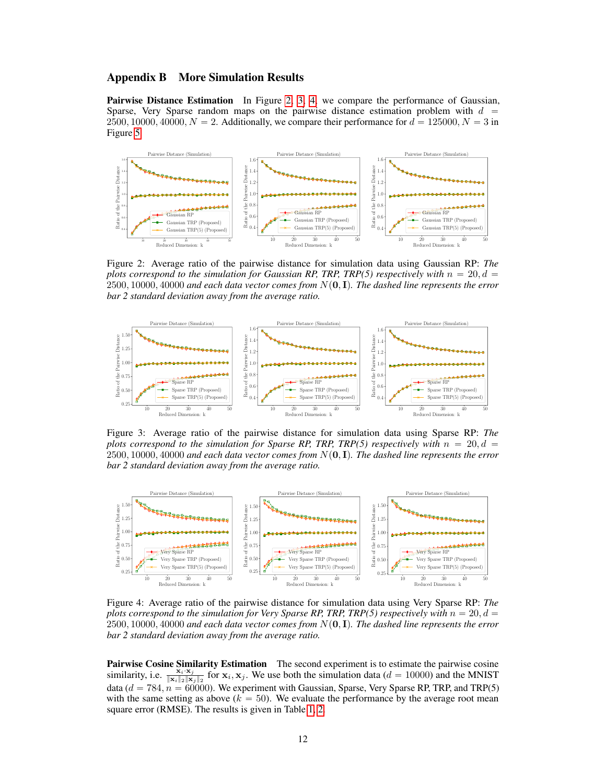# <span id="page-11-0"></span>Appendix B More Simulation Results

Pairwise Distance Estimation In Figure [2,](#page-11-1) [3,](#page-11-2) [4,](#page-11-3) we compare the performance of Gaussian, Sparse, Very Sparse random maps on the pairwise distance estimation problem with  $d =$ 2500, 10000, 40000,  $N = 2$ . Additionally, we compare their performance for  $d = 125000$ ,  $N = 3$  in Figure [5.](#page-12-1)

<span id="page-11-1"></span>

Figure 2: Average ratio of the pairwise distance for simulation data using Gaussian RP: *The plots correspond to the simulation for Gaussian RP, TRP, TRP(5) respectively with*  $n = 20, d =$  $2500, 10000, 40000$  and each data vector comes from  $N(\mathbf{0}, \mathbf{I})$ . The dashed line represents the error *bar 2 standard deviation away from the average ratio.*

<span id="page-11-2"></span>

Figure 3: Average ratio of the pairwise distance for simulation data using Sparse RP: *The plots correspond to the simulation for Sparse RP, TRP, TRP(5) respectively with*  $n = 20, d =$  $2500, 10000, 40000$  and each data vector comes from  $N(0, I)$ . The dashed line represents the error *bar 2 standard deviation away from the average ratio.*

<span id="page-11-3"></span>

Figure 4: Average ratio of the pairwise distance for simulation data using Very Sparse RP: *The plots correspond to the simulation for Very Sparse RP, TRP, TRP(5) respectively with*  $n = 20, d =$  $2500, 10000, 40000$  and each data vector comes from  $N(\mathbf{0}, \mathbf{I})$ . The dashed line represents the error *bar 2 standard deviation away from the average ratio.*

Pairwise Cosine Similarity Estimation The second experiment is to estimate the pairwise cosine similarity, i.e.  $\frac{\mathbf{x}_i \cdot \mathbf{x}_j}{\|\mathbf{x}_i\|_2 \|\mathbf{x}_j\|_2}$  for  $\mathbf{x}_i, \mathbf{x}_j$ . We use both the simulation data ( $d = 10000$ ) and the MNIST data  $(d = 784, n = 60000)$ . We experiment with Gaussian, Sparse, Very Sparse RP, TRP, and TRP(5) with the same setting as above ( $k = 50$ ). We evaluate the performance by the average root mean square error (RMSE). The results is given in Table [1,](#page-3-0) [2.](#page-12-2)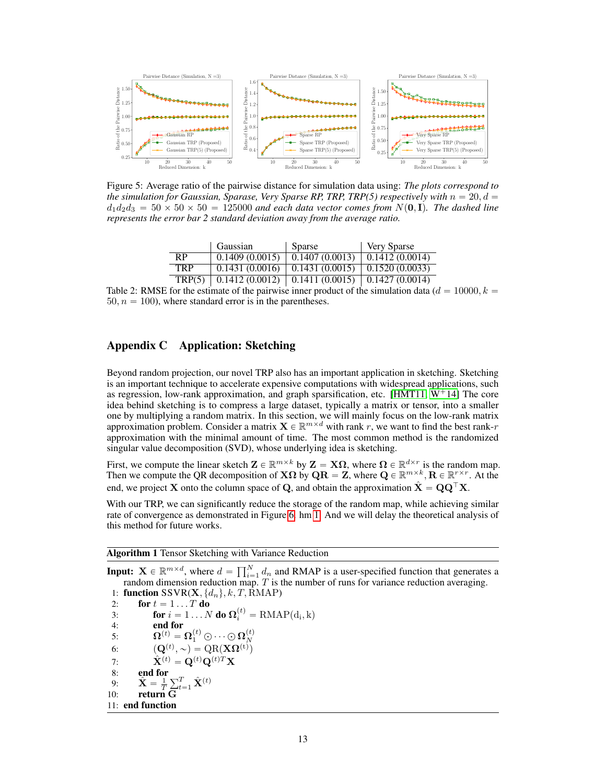<span id="page-12-1"></span>

Figure 5: Average ratio of the pairwise distance for simulation data using: *The plots correspond to the simulation for Gaussian, Sparase, Very Sparse RP, TRP, TRP(5) respectively with*  $n = 20, d =$  $d_1d_2d_3 = 50 \times 50 \times 50 = 125000$  *and each data vector comes from*  $N(0, I)$ *. The dashed line represents the error bar 2 standard deviation away from the average ratio.*

|            | Gaussian       | Sparse                                               | <b>Very Sparse</b> |
|------------|----------------|------------------------------------------------------|--------------------|
| RP.        | 0.1409(0.0015) | $\mid$ 0.1407 (0.0013) $\mid$ 0.1412 (0.0014)        |                    |
| <b>TRP</b> |                | $0.1431(0.0016)$ 0.1431 $(0.0015)$ 0.1520 $(0.0033)$ |                    |
| TRP(5)     |                | $0.1412(0.0012)$   0.1411 (0.0015)   0.1427 (0.0014) |                    |

<span id="page-12-2"></span>Table 2: RMSE for the estimate of the pairwise inner product of the simulation data ( $d = 10000, k =$  $50, n = 100$ , where standard error is in the parentheses.

# <span id="page-12-0"></span>Appendix C Application: Sketching

Beyond random projection, our novel TRP also has an important application in sketching. Sketching is an important technique to accelerate expensive computations with widespread applications, such as regression, low-rank approximation, and graph sparsification, etc. [\[HMT11,](#page-5-4)  $W^+14$ ] The core idea behind sketching is to compress a large dataset, typically a matrix or tensor, into a smaller one by multiplying a random matrix. In this section, we will mainly focus on the low-rank matrix approximation problem. Consider a matrix  $\mathbf{X} \in \mathbb{R}^{m \times d}$  with rank r, we want to find the best rank-r approximation with the minimal amount of time. The most common method is the randomized singular value decomposition (SVD), whose underlying idea is sketching.

First, we compute the linear sketch  $\mathbf{Z} \in \mathbb{R}^{m \times k}$  by  $\mathbf{Z} = \mathbf{X}\Omega$ , where  $\Omega \in \mathbb{R}^{d \times r}$  is the random map. Then we compute the QR decomposition of  $\mathbf{X}\Omega$  by  $\mathbf{Q}\mathbf{R} = \mathbf{Z}$ , where  $\mathbf{Q} \in \mathbb{R}^{m \times k}$ ,  $\mathbf{R} \in \mathbb{R}^{r \times r}$ . At the end, we project **X** onto the column space of **Q**, and obtain the approximation  $\hat{\mathbf{X}} = \mathbf{Q}\mathbf{Q}^{\top}\mathbf{X}$ .

With our TRP, we can significantly reduce the storage of the random map, while achieving similar rate of convergence as demonstrated in Figure [6.](#page-13-1) hm [1.](#page-12-3) And we will delay the theoretical analysis of this method for future works.

<span id="page-12-3"></span>Algorithm 1 Tensor Sketching with Variance Reduction

**Input:**  $\mathbf{X} \in \mathbb{R}^{m \times d}$ , where  $d = \prod_{i=1}^{N}$  $\sum_{i=1}^{N} d_n$  and RMAP is a user-specified function that generates a random dimension reduction map.  $T$  is the number of runs for variance reduction averaging. 1: function SSVR(**X**,  $\{d_n\}$ ,  $k$ , *T*, RMAP)<br>2: for  $t = 1...T$  do 2: **for**  $t = 1...T$  **do**<br>3: **for**  $i = 1...N$ 3: **for**  $i = 1 ... N$  **do**  $\Omega_i^{(t)} = \text{RMAP}(\text{d}_i, \text{k})$ 4: **end for**<br>5:  $\Omega^{(t)} = 9$ 5:  $\qquad \qquad \bm{\Omega}^{(t)} = \bm{\Omega}^{(t)}_1 \odot \dots \odot \bm{\Omega}^{(t)}_N$ 6:  $(\mathbf{Q}^{(t)}, \sim) = \text{QR}(\mathbf{X}\mathbf{\Omega}^{(t)})$ 7:  $\hat{\mathbf{X}}^{(t)} = \mathbf{Q}^{(t)} \mathbf{Q}^{(t)T} \mathbf{X}$ <br>8: end for 8: end for 9:  $\hat{\mathbf{X}} = \frac{1}{T}$  $\sum_{t=1}^{T} \hat{\mathbf{X}}^{(t)}$ 10: return G 11: end function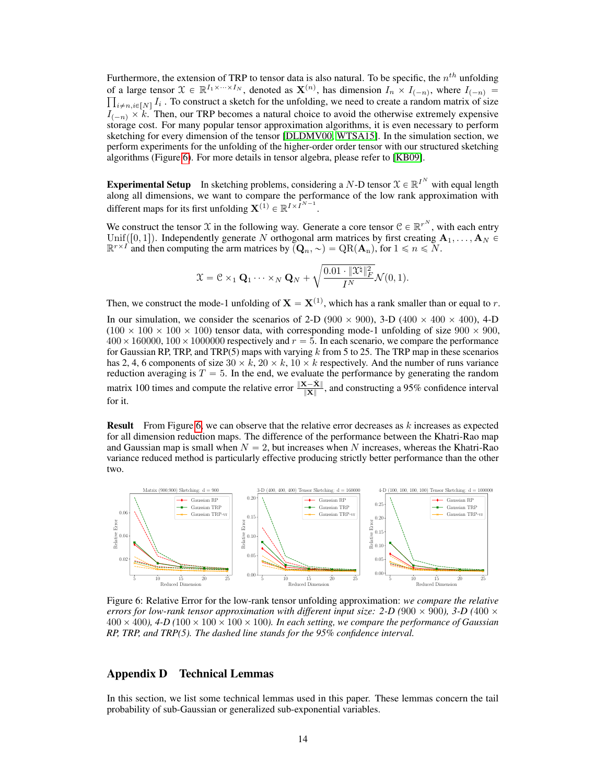Furthermore, the extension of TRP to tensor data is also natural. To be specific, the  $n^{th}$  unfolding of a large tensor  $\mathcal{X} \in \mathbb{R}^{I_1 \times \cdots \times I_N}$ , denoted as  $\mathbf{X}^{(n)}$ , has dimension  $I_n \times I_{(-n)}$ , where  $I_{(-n)} =$  $_{i \neq n,i \in [N]} I_i$  . To construct a sketch for the unfolding, we need to create a random matrix of size  $I_{(-n)} \times k$ . Then, our TRP becomes a natural choice to avoid the otherwise extremely expensive storage cost. For many popular tensor approximation algorithms, it is even necessary to perform sketching for every dimension of the tensor [\[DLDMV00,](#page-5-14) [WTSA15\]](#page-6-5). In the simulation section, we perform experiments for the unfolding of the higher-order order tensor with our structured sketching algorithms (Figure [6\)](#page-13-1). For more details in tensor algebra, please refer to [\[KB09\]](#page-5-15).

**Experimental Setup** In sketching problems, considering a N-D tensor  $\mathcal{X} \in \mathbb{R}^{I^N}$  with equal length along all dimensions, we want to compare the performance of the low rank approximation with different maps for its first unfolding  $\mathbf{X}^{(1)} \in \mathbb{R}^{I \times I^{N-1}}$ .

We construct the tensor X in the following way. Generate a core tensor  $\mathcal{C} \in \mathbb{R}^{r^N}$ , with each entry Unif([0, 1]). Independently generate N orthogonal arm matrices by first creating  $A_1, \ldots, A_N \in$  $\mathbb{R}^{r \times T}$  and then computing the arm matrices by  $(Q_n, \sim) = \mathrm{QR}(\mathbf{A}_n)$ , for  $1 \le n \le N$ .

$$
\mathfrak{X}=\mathcal{C}\times_1 \mathbf{Q}_1\cdot\cdot\cdot \times_N \mathbf{Q}_N + \sqrt{\frac{0.01\cdot\|\mathfrak{X}^\natural\|_F^2}{I^N}}\mathcal{N}(0,1).
$$

Then, we construct the mode-1 unfolding of  $X = X^{(1)}$ , which has a rank smaller than or equal to r.

In our simulation, we consider the scenarios of 2-D (900  $\times$  900), 3-D (400  $\times$  400  $\times$  400), 4-D  $(100 \times 100 \times 100 \times 100)$  tensor data, with corresponding mode-1 unfolding of size  $900 \times 900$ ,  $400 \times 160000$ ,  $100 \times 1000000$  respectively and  $r = 5$ . In each scenario, we compare the performance for Gaussian RP, TRP, and TRP(5) maps with varying k from 5 to 25. The TRP map in these scenarios has 2, 4, 6 components of size  $30 \times k$ ,  $20 \times k$ ,  $10 \times k$  respectively. And the number of runs variance reduction averaging is  $T = 5$ . In the end, we evaluate the performance by generating the random matrix 100 times and compute the relative error  $\frac{\|{\bf X}-\hat{{\bf X}}\|}{\|{\bf X}\|}$ , and constructing a 95% confidence interval for it.

**Result** From Figure [6,](#page-13-1) we can observe that the relative error decreases as  $k$  increases as expected for all dimension reduction maps. The difference of the performance between the Khatri-Rao map and Gaussian map is small when  $N = 2$ , but increases when N increases, whereas the Khatri-Rao variance reduced method is particularly effective producing strictly better performance than the other two.

<span id="page-13-1"></span>

Figure 6: Relative Error for the low-rank tensor unfolding approximation: *we compare the relative errors for low-rank tensor approximation with different input size: 2-D (900*  $\times$  *900), 3-D (400*  $\times$  $400 \times 400$ ,  $4-D(100 \times 100 \times 100 \times 100)$ . In each setting, we compare the performance of Gaussian *RP, TRP, and TRP(5). The dashed line stands for the 95% confidence interval.*

# Appendix D Technical Lemmas

<span id="page-13-0"></span>In this section, we list some technical lemmas used in this paper. These lemmas concern the tail probability of sub-Gaussian or generalized sub-exponential variables.